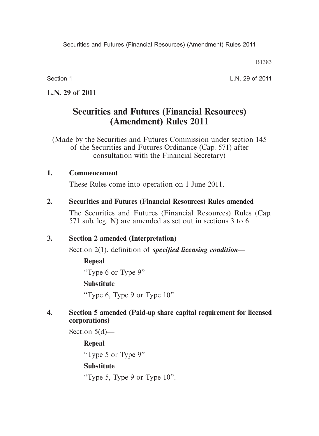Section 1

L.N. 29 of 2011

## **L.N. 29 of 2011**

# **Securities and Futures (Financial Resources) (Amendment) Rules 2011**

(Made by the Securities and Futures Commission under section 145 of the Securities and Futures Ordinance (Cap. 571) after consultation with the Financial Secretary)

#### **1. Commencement**

These Rules come into operation on 1 June 2011.

#### **2. Securities and Futures (Financial Resources) Rules amended**

The Securities and Futures (Financial Resources) Rules (Cap. 571 sub. leg. N) are amended as set out in sections 3 to 6.

#### **3. Section 2 amended (Interpretation)**

Section 2(1), definition of *specified licensing condition*—

**Repeal** "Type 6 or Type 9" **Substitute**

"Type 6, Type 9 or Type 10".

### **4. Section 5 amended (Paid-up share capital requirement for licensed corporations)**

Section 5(d)—

**Repeal**

"Type 5 or Type 9"

## **Substitute**

"Type 5, Type 9 or Type 10".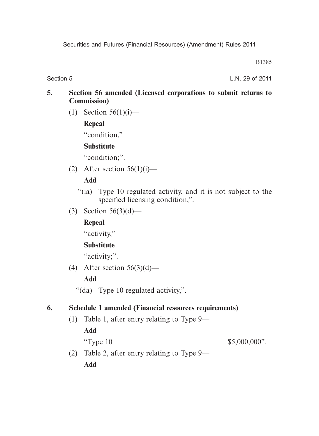Section 5

L.N. 29 of 2011

#### **5. Section 56 amended (Licensed corporations to submit returns to Commission)**

(1) Section  $56(1)(i)$ —

**Repeal**

"condition,"

## **Substitute**

"condition;".

(2) After section  $56(1)(i)$ —

## **Add**

- "(ia) Type 10 regulated activity, and it is not subject to the specified licensing condition,".
- (3) Section 56(3)(d)—

# **Repeal**

"activity,"

## **Substitute**

"activity;".

(4) After section  $56(3)(d)$ —

# **Add**

"(da) Type 10 regulated activity,".

# **6. Schedule 1 amended (Financial resources requirements)**

(1) Table 1, after entry relating to Type 9—

**Add**

"Type 10  $$5,000,000"$ .

 (2) Table 2, after entry relating to Type 9— **Add**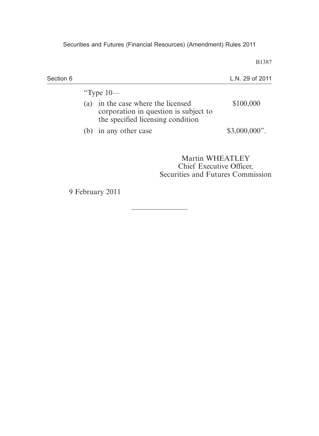| Section 6 |     |                                                                                        | L.N. 29 of 2011 |
|-----------|-----|----------------------------------------------------------------------------------------|-----------------|
|           | (a) | "Type $10-$<br>in the case where the licensed<br>corporation in question is subject to | \$100,000       |
|           |     | the specified licensing condition<br>(b) in any other case                             | $$3,000,000$ ". |
|           |     |                                                                                        | Martin WHEATLEY |

Martin WHEATLEY Chief Executive Officer, Securities and Futures Commission

9 February 2011